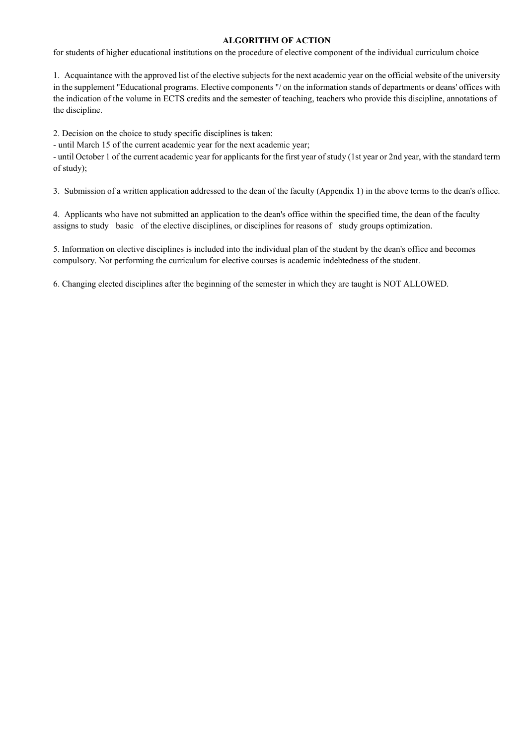## **ALGORITHM OF ACTION**

for students of higher educational institutions on the procedure of elective component of the individual curriculum choice

1. Acquaintance with the approved list of the elective subjects for the next academic year on the official website of the university in the supplement "Educational programs. Elective components "/ on the information stands of departments or deans' offices with the indication of the volume in ECTS credits and the semester of teaching, teachers who provide this discipline, annotations of the discipline.

2. Decision on the choice to study specific disciplines is taken:

- until March 15 of the current academic year for the next academic year;

- until October 1 of the current academic year for applicants for the first year of study (1st year or 2nd year, with the standard term of study);

3. Submission of a written application addressed to the dean of the faculty (Appendix 1) in the above terms to the dean's office.

4. Applicants who have not submitted an application to the dean's office within the specified time, the dean of the faculty assigns to study basic of the elective disciplines, or disciplines for reasons of study groups optimization.

5. Information on elective disciplines is included into the individual plan of the student by the dean's office and becomes compulsory. Not performing the curriculum for elective courses is academic indebtedness of the student.

6. Changing elected disciplines after the beginning of the semester in which they are taught is NOT ALLOWED.